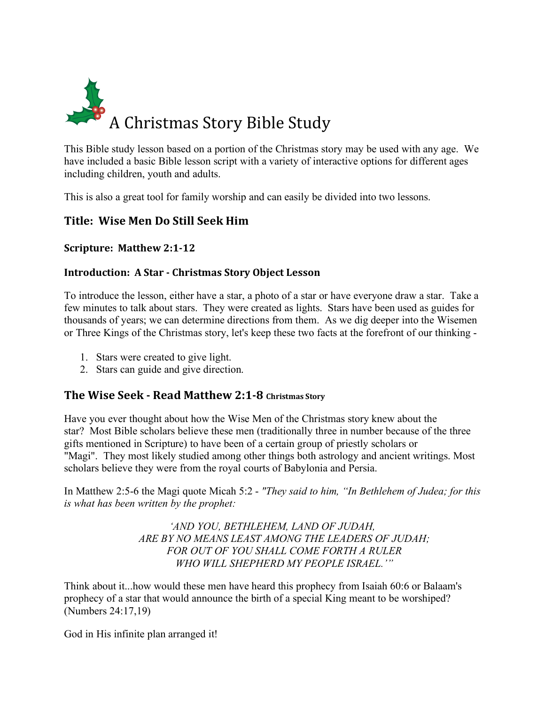

This Bible study lesson based on a portion of the Christmas story may be used with any age. We have included a basic Bible lesson script with a variety of interactive options for different ages including children, youth and adults.

This is also a great tool for family worship and can easily be divided into two lessons.

## **Title: Wise Men Do Still Seek Him**

**Scripture: Matthew 2:1-12**

#### **Introduction: A Star - Christmas Story Object Lesson**

To introduce the lesson, either have a star, a photo of a star or have everyone draw a star. Take a few minutes to talk about stars. They were created as lights. Stars have been used as guides for thousands of years; we can determine directions from them. As we dig deeper into the Wisemen or Three Kings of the Christmas story, let's keep these two facts at the forefront of our thinking -

- 1. Stars were created to give light.
- 2. Stars can guide and give direction.

## **The Wise Seek - Read Matthew 2:1-8 Christmas Story**

Have you ever thought about how the Wise Men of the Christmas story knew about the star? Most Bible scholars believe these men (traditionally three in number because of the three gifts mentioned in Scripture) to have been of a certain group of priestly scholars or "Magi". They most likely studied among other things both astrology and ancient writings. Most scholars believe they were from the royal courts of Babylonia and Persia.

In Matthew 2:5-6 the Magi quote Micah 5:2 - *"They said to him, "In Bethlehem of Judea; for this is what has been written by the prophet:*

> *'AND YOU, BETHLEHEM, LAND OF JUDAH, ARE BY NO MEANS LEAST AMONG THE LEADERS OF JUDAH; FOR OUT OF YOU SHALL COME FORTH A RULER WHO WILL SHEPHERD MY PEOPLE ISRAEL.'"*

Think about it...how would these men have heard this prophecy from Isaiah 60:6 or Balaam's prophecy of a star that would announce the birth of a special King meant to be worshiped? (Numbers 24:17,19)

God in His infinite plan arranged it!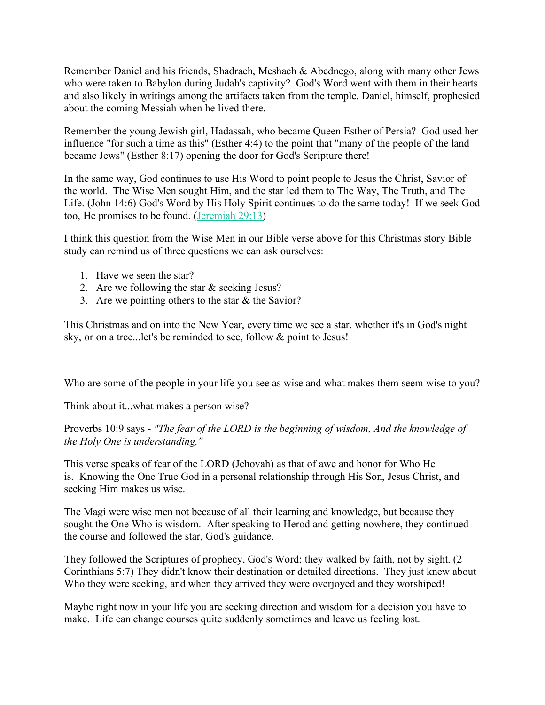Remember Daniel and his friends, Shadrach, Meshach & Abednego, along with many other Jews who were taken to Babylon during Judah's captivity? God's Word went with them in their hearts and also likely in writings among the artifacts taken from the temple. Daniel, himself, prophesied about the coming Messiah when he lived there.

Remember the young Jewish girl, Hadassah, who became Queen Esther of Persia? God used her influence "for such a time as this" (Esther 4:4) to the point that "many of the people of the land became Jews" (Esther 8:17) opening the door for God's Scripture there!

In the same way, God continues to use His Word to point people to Jesus the Christ, Savior of the world. The Wise Men sought Him, and the star led them to The Way, The Truth, and The Life. (John 14:6) God's Word by His Holy Spirit continues to do the same today! If we seek God too, He promises to be found. (Jeremiah 29:13)

I think this question from the Wise Men in our Bible verse above for this Christmas story Bible study can remind us of three questions we can ask ourselves:

- 1. Have we seen the star?
- 2. Are we following the star & seeking Jesus?
- 3. Are we pointing others to the star & the Savior?

This Christmas and on into the New Year, every time we see a star, whether it's in God's night sky, or on a tree...let's be reminded to see, follow & point to Jesus!

Who are some of the people in your life you see as wise and what makes them seem wise to you?

Think about it...what makes a person wise?

Proverbs 10:9 says - *"The fear of the LORD is the beginning of wisdom, And the knowledge of the Holy One is understanding."*

This verse speaks of fear of the LORD (Jehovah) as that of awe and honor for Who He is. Knowing the One True God in a personal relationship through His Son, Jesus Christ, and seeking Him makes us wise.

The Magi were wise men not because of all their learning and knowledge, but because they sought the One Who is wisdom. After speaking to Herod and getting nowhere, they continued the course and followed the star, God's guidance.

They followed the Scriptures of prophecy, God's Word; they walked by faith, not by sight. (2 Corinthians 5:7) They didn't know their destination or detailed directions. They just knew about Who they were seeking, and when they arrived they were overjoyed and they worshiped!

Maybe right now in your life you are seeking direction and wisdom for a decision you have to make. Life can change courses quite suddenly sometimes and leave us feeling lost.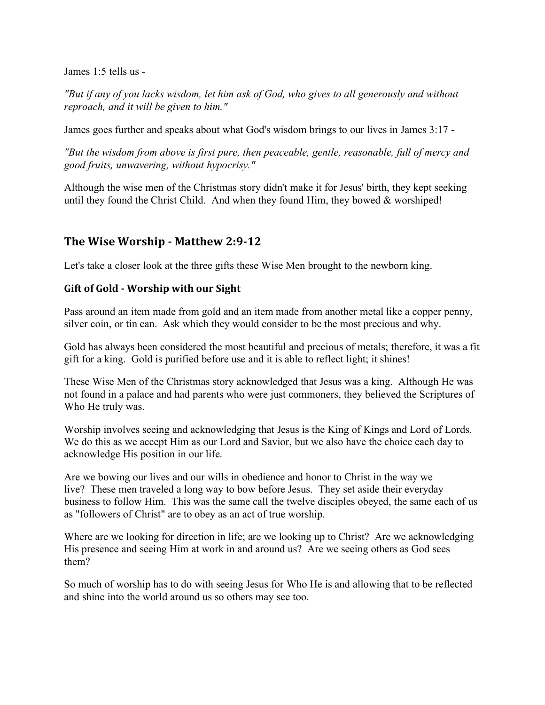James 1:5 tells us -

*"But if any of you lacks wisdom, let him ask of God, who gives to all generously and without reproach, and it will be given to him."*

James goes further and speaks about what God's wisdom brings to our lives in James 3:17 -

*"But the wisdom from above is first pure, then peaceable, gentle, reasonable, full of mercy and good fruits, unwavering, without hypocrisy."*

Although the wise men of the Christmas story didn't make it for Jesus' birth, they kept seeking until they found the Christ Child. And when they found Him, they bowed  $&$  worshiped!

## **The Wise Worship - Matthew 2:9-12**

Let's take a closer look at the three gifts these Wise Men brought to the newborn king.

#### **Gift of Gold - Worship with our Sight**

Pass around an item made from gold and an item made from another metal like a copper penny, silver coin, or tin can. Ask which they would consider to be the most precious and why.

Gold has always been considered the most beautiful and precious of metals; therefore, it was a fit gift for a king. Gold is purified before use and it is able to reflect light; it shines!

These Wise Men of the Christmas story acknowledged that Jesus was a king. Although He was not found in a palace and had parents who were just commoners, they believed the Scriptures of Who He truly was.

Worship involves seeing and acknowledging that Jesus is the King of Kings and Lord of Lords. We do this as we accept Him as our Lord and Savior, but we also have the choice each day to acknowledge His position in our life.

Are we bowing our lives and our wills in obedience and honor to Christ in the way we live? These men traveled a long way to bow before Jesus. They set aside their everyday business to follow Him. This was the same call the twelve disciples obeyed, the same each of us as "followers of Christ" are to obey as an act of true worship.

Where are we looking for direction in life; are we looking up to Christ? Are we acknowledging His presence and seeing Him at work in and around us? Are we seeing others as God sees them?

So much of worship has to do with seeing Jesus for Who He is and allowing that to be reflected and shine into the world around us so others may see too.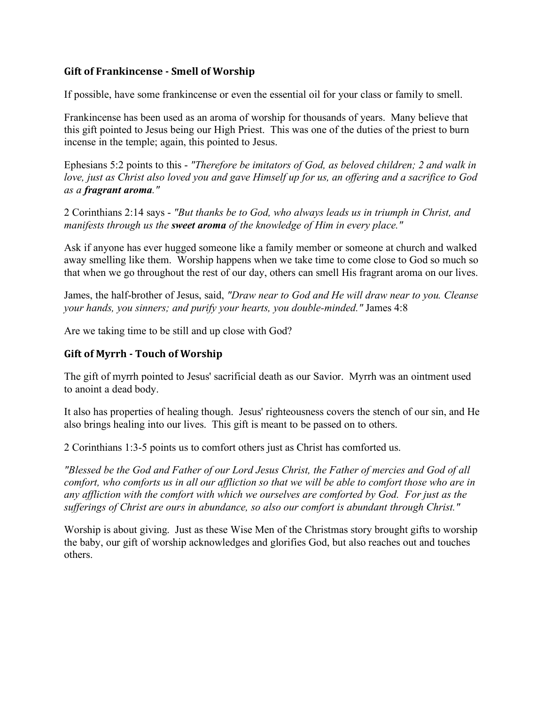#### **Gift of Frankincense - Smell of Worship**

If possible, have some frankincense or even the essential oil for your class or family to smell.

Frankincense has been used as an aroma of worship for thousands of years. Many believe that this gift pointed to Jesus being our High Priest. This was one of the duties of the priest to burn incense in the temple; again, this pointed to Jesus.

Ephesians 5:2 points to this - *"Therefore be imitators of God, as beloved children; 2 and walk in love, just as Christ also loved you and gave Himself up for us, an offering and a sacrifice to God as a fragrant aroma."*

2 Corinthians 2:14 says - *"But thanks be to God, who always leads us in triumph in Christ, and manifests through us the sweet aroma of the knowledge of Him in every place."* 

Ask if anyone has ever hugged someone like a family member or someone at church and walked away smelling like them. Worship happens when we take time to come close to God so much so that when we go throughout the rest of our day, others can smell His fragrant aroma on our lives.

James, the half-brother of Jesus, said, *"Draw near to God and He will draw near to you. Cleanse your hands, you sinners; and purify your hearts, you double-minded."* James 4:8

Are we taking time to be still and up close with God?

#### **Gift of Myrrh - Touch of Worship**

The gift of myrrh pointed to Jesus' sacrificial death as our Savior. Myrrh was an ointment used to anoint a dead body.

It also has properties of healing though. Jesus' righteousness covers the stench of our sin, and He also brings healing into our lives. This gift is meant to be passed on to others.

2 Corinthians 1:3-5 points us to comfort others just as Christ has comforted us.

*"Blessed be the God and Father of our Lord Jesus Christ, the Father of mercies and God of all comfort, who comforts us in all our affliction so that we will be able to comfort those who are in any affliction with the comfort with which we ourselves are comforted by God. For just as the sufferings of Christ are ours in abundance, so also our comfort is abundant through Christ."*

Worship is about giving. Just as these Wise Men of the Christmas story brought gifts to worship the baby, our gift of worship acknowledges and glorifies God, but also reaches out and touches others.